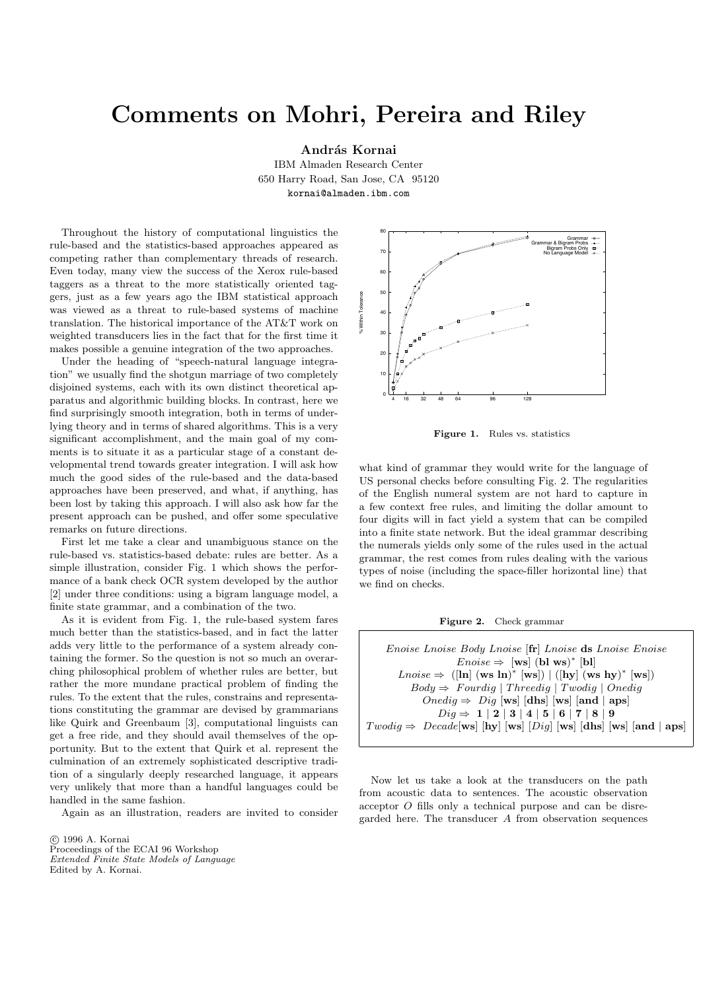## Comments on Mohri, Pereira and Riley

András Kornai

IBM Almaden Research Center 650 Harry Road, San Jose, CA 95120 kornai@almaden.ibm.com

Throughout the history of computational linguistics the rule-based and the statistics-based approaches appeared as competing rather than complementary threads of research. Even today, many view the success of the Xerox rule-based taggers as a threat to the more statistically oriented taggers, just as a few years ago the IBM statistical approach was viewed as a threat to rule-based systems of machine translation. The historical importance of the AT&T work on weighted transducers lies in the fact that for the first time it makes possible a genuine integration of the two approaches.

Under the heading of "speech-natural language integration" we usually find the shotgun marriage of two completely disjoined systems, each with its own distinct theoretical apparatus and algorithmic building blocks. In contrast, here we find surprisingly smooth integration, both in terms of underlying theory and in terms of shared algorithms. This is a very significant accomplishment, and the main goal of my comments is to situate it as a particular stage of a constant developmental trend towards greater integration. I will ask how much the good sides of the rule-based and the data-based approaches have been preserved, and what, if anything, has been lost by taking this approach. I will also ask how far the present approach can be pushed, and offer some speculative remarks on future directions.

First let me take a clear and unambiguous stance on the rule-based vs. statistics-based debate: rules are better. As a simple illustration, consider Fig. 1 which shows the performance of a bank check OCR system developed by the author [2] under three conditions: using a bigram language model, a finite state grammar, and a combination of the two.

As it is evident from Fig. 1, the rule-based system fares much better than the statistics-based, and in fact the latter adds very little to the performance of a system already containing the former. So the question is not so much an overarching philosophical problem of whether rules are better, but rather the more mundane practical problem of finding the rules. To the extent that the rules, constrains and representations constituting the grammar are devised by grammarians like Quirk and Greenbaum [3], computational linguists can get a free ride, and they should avail themselves of the opportunity. But to the extent that Quirk et al. represent the culmination of an extremely sophisticated descriptive tradition of a singularly deeply researched language, it appears very unlikely that more than a handful languages could be handled in the same fashion.

Again as an illustration, readers are invited to consider



Figure 1. Rules vs. statistics

what kind of grammar they would write for the language of US personal checks before consulting Fig. 2. The regularities of the English numeral system are not hard to capture in a few context free rules, and limiting the dollar amount to four digits will in fact yield a system that can be compiled into a finite state network. But the ideal grammar describing the numerals yields only some of the rules used in the actual grammar, the rest comes from rules dealing with the various types of noise (including the space-filler horizontal line) that we find on checks.



Enoise Lnoise Body Lnoise [fr] Lnoise ds Lnoise Enoise  $Enoise \Rightarrow$  [ws] (bl ws)\* [bl]  $\text{Lnoise} \Rightarrow \left( \begin{bmatrix} \ln \end{bmatrix} (\text{ws } \text{ln})^* \begin{bmatrix} \text{ws} \end{bmatrix} \right) \mid (\begin{bmatrix} \text{hy} \end{bmatrix} (\text{ws } \text{hy})^* \begin{bmatrix} \text{ws} \end{bmatrix})$  $Body \Rightarrow \; Fourdig \mid \text{Threadig} \mid \text{Twodig} \mid \text{Onedig}$  $Onedig$  ⇒  $Dig$  [ws] [dhs] [ws] [and | aps]  $Diq \Rightarrow 1 | 2 | 3 | 4 | 5 | 6 | 7 | 8 | 9$  $Twodig \Rightarrow \ Decade[ws]$  [hy] [ws] [ $Dig$ ] [ws] [dhs] [ws] [and | aps]

Now let us take a look at the transducers on the path from acoustic data to sentences. The acoustic observation acceptor O fills only a technical purpose and can be disregarded here. The transducer A from observation sequences